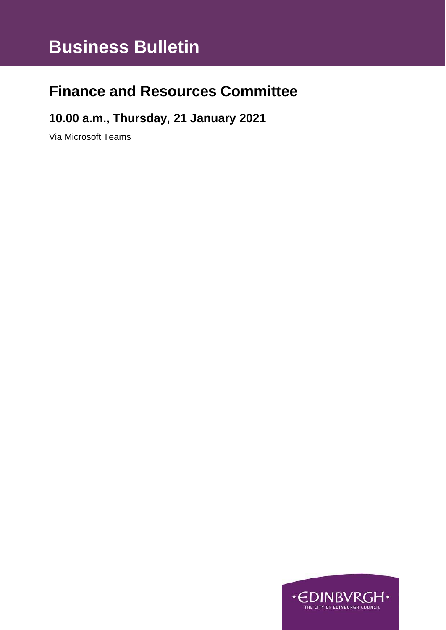# **Business Bulletin**

## **Finance and Resources Committee**

### **10.00 a.m., Thursday, 21 January 2021**

Via Microsoft Teams

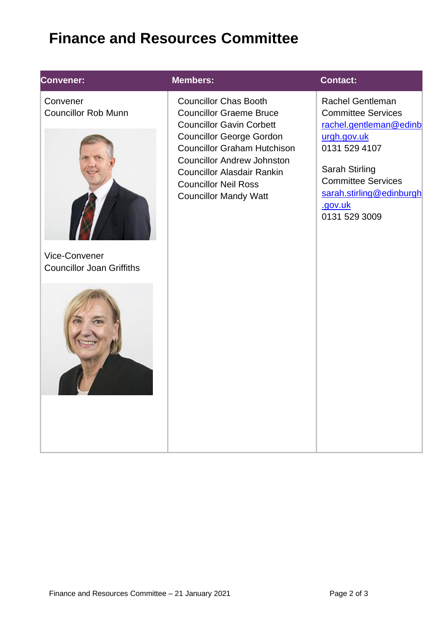# **Finance and Resources Committee**

### **Convener:**

**Convener:** Convener Councillor Rob Munn



Vice-Convener Councillor Joan Griffiths



### **Members: Contact:**

Councillor Chas Booth Councillor Graeme Bruce Councillor Gavin Corbett Councillor George Gordon Councillor Graham Hutchison Councillor Andrew Johnston Councillor Alasdair Rankin Councillor Neil Ross Councillor Mandy Watt

[Rachel](mailto:Blair.Ritchie@edinburgh.gov.uk) Gentleman Committee Services [rachel.gentleman@edinb](mailto:rachel.gentleman@edinburgh.gov.uk) [urgh.gov.uk](mailto:rachel.gentleman@edinburgh.gov.uk) 0131 529 4107

Sarah Stirling Committee Services [sarah.stirling@edinburgh](mailto:sarah.stirling@edinburgh.gov.uk) [.gov.uk](mailto:sarah.stirling@edinburgh.gov.uk) 0131 529 3009